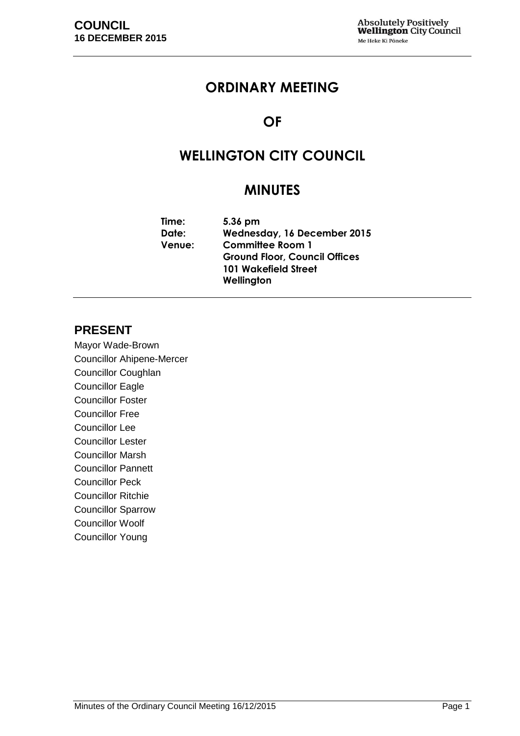# **ORDINARY MEETING**

# **OF**

# **WELLINGTON CITY COUNCIL**

# **MINUTES**

| Time:         | 5.36 pm                              |  |
|---------------|--------------------------------------|--|
| Date:         | Wednesday, 16 December 2015          |  |
| <b>Venue:</b> | <b>Committee Room 1</b>              |  |
|               | <b>Ground Floor, Council Offices</b> |  |
|               | <b>101 Wakefield Street</b>          |  |
|               | Wellington                           |  |

# **PRESENT**

Mayor Wade-Brown Councillor Ahipene-Mercer Councillor Coughlan Councillor Eagle Councillor Foster Councillor Free Councillor Lee Councillor Lester Councillor Marsh Councillor Pannett Councillor Peck Councillor Ritchie Councillor Sparrow Councillor Woolf Councillor Young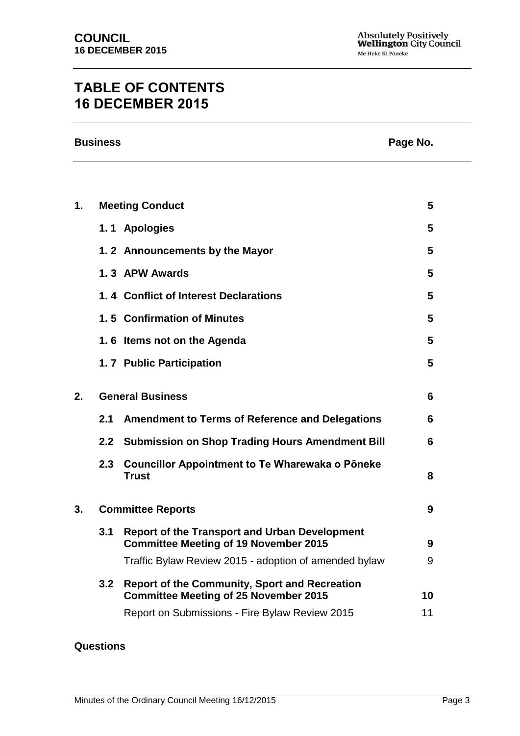# **TABLE OF CONTENTS 16 DECEMBER 2015**

| <b>Business</b> | Page No. |
|-----------------|----------|
|                 |          |

| 1. |     | <b>Meeting Conduct</b>                                                                               | 5  |
|----|-----|------------------------------------------------------------------------------------------------------|----|
|    |     | 1.1 Apologies                                                                                        | 5  |
|    |     | 1.2 Announcements by the Mayor                                                                       | 5  |
|    |     | 1.3 APW Awards                                                                                       | 5  |
|    |     | 1.4 Conflict of Interest Declarations                                                                | 5  |
|    |     | 1.5 Confirmation of Minutes                                                                          | 5  |
|    |     | 1.6 Items not on the Agenda                                                                          | 5  |
|    |     | 1.7 Public Participation                                                                             | 5  |
| 2. |     | <b>General Business</b>                                                                              | 6  |
|    | 2.1 | <b>Amendment to Terms of Reference and Delegations</b>                                               | 6  |
|    | 2.2 | <b>Submission on Shop Trading Hours Amendment Bill</b>                                               | 6  |
|    | 2.3 | <b>Councillor Appointment to Te Wharewaka o Poneke</b><br><b>Trust</b>                               | 8  |
| 3. |     | <b>Committee Reports</b>                                                                             | 9  |
|    | 3.1 | <b>Report of the Transport and Urban Development</b><br><b>Committee Meeting of 19 November 2015</b> | 9  |
|    |     | Traffic Bylaw Review 2015 - adoption of amended bylaw                                                | 9  |
|    | 3.2 | <b>Report of the Community, Sport and Recreation</b><br><b>Committee Meeting of 25 November 2015</b> | 10 |
|    |     | Report on Submissions - Fire Bylaw Review 2015                                                       | 11 |

### **Questions**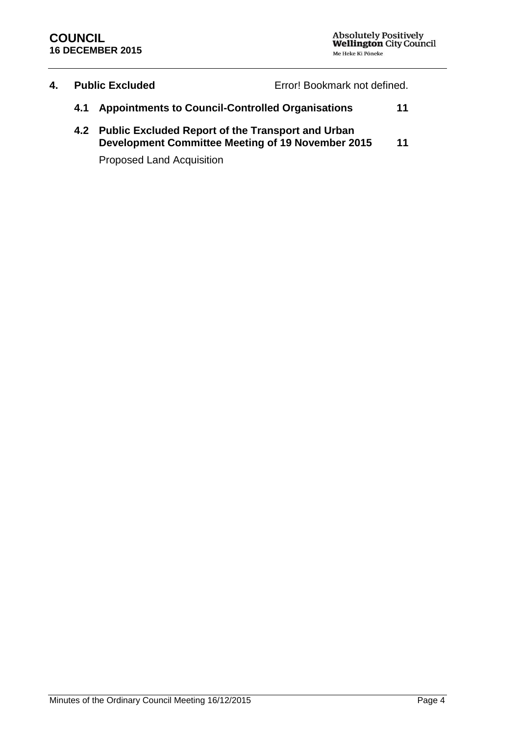| 4. | <b>Public Excluded</b>                                |  | Error! Bookmark not defined. |    |
|----|-------------------------------------------------------|--|------------------------------|----|
|    | 4.1 Appointments to Council-Controlled Organisations  |  |                              | 11 |
|    | 4.2 Public Excluded Report of the Transport and Urban |  |                              |    |

**Development Committee Meeting of 19 November 2015 [11](#page-10-2)**

Proposed Land Acquisition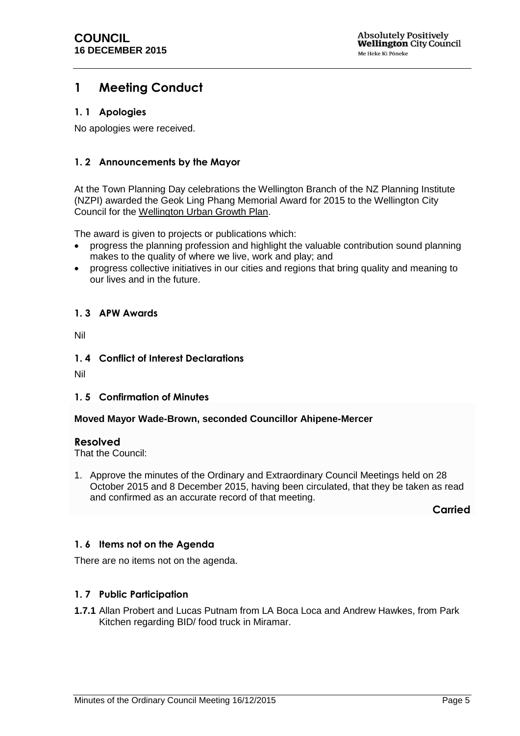# <span id="page-4-0"></span>**1 Meeting Conduct**

### <span id="page-4-1"></span>**1. 1 Apologies**

No apologies were received.

## <span id="page-4-2"></span>**1. 2 Announcements by the Mayor**

At the Town Planning Day celebrations the Wellington Branch of the NZ Planning Institute (NZPI) awarded the Geok Ling Phang Memorial Award for 2015 to the Wellington City Council for the Wellington Urban Growth Plan.

The award is given to projects or publications which:

- progress the planning profession and highlight the valuable contribution sound planning makes to the quality of where we live, work and play; and
- progress collective initiatives in our cities and regions that bring quality and meaning to our lives and in the future.

### <span id="page-4-3"></span>**1. 3 APW Awards**

Nil

### <span id="page-4-4"></span>**1. 4 Conflict of Interest Declarations**

Nil

#### <span id="page-4-5"></span>**1. 5 Confirmation of Minutes**

#### **Moved Mayor Wade-Brown, seconded Councillor Ahipene-Mercer**

#### **Resolved**

That the Council:

1. Approve the minutes of the Ordinary and Extraordinary Council Meetings held on 28 October 2015 and 8 December 2015, having been circulated, that they be taken as read and confirmed as an accurate record of that meeting.

**Carried**

## <span id="page-4-6"></span>**1. 6 Items not on the Agenda**

There are no items not on the agenda.

## <span id="page-4-7"></span>**1. 7 Public Participation**

**1.7.1** Allan Probert and Lucas Putnam from LA Boca Loca and Andrew Hawkes, from Park Kitchen regarding BID/ food truck in Miramar.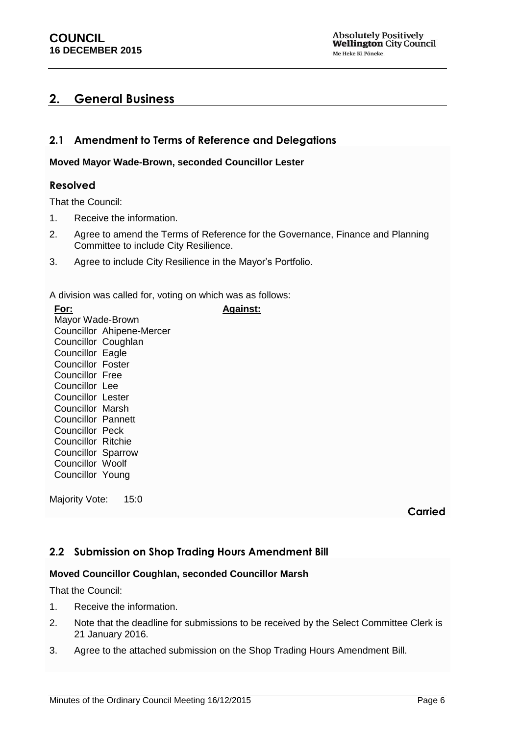# <span id="page-5-0"></span>**2. General Business**

# <span id="page-5-1"></span>**2.1 Amendment to Terms of Reference and Delegations**

#### **Moved Mayor Wade-Brown, seconded Councillor Lester**

#### **Resolved**

That the Council:

- 1. Receive the information.
- 2. Agree to amend the Terms of Reference for the Governance, Finance and Planning Committee to include City Resilience.
- 3. Agree to include City Resilience in the Mayor's Portfolio.

A division was called for, voting on which was as follows:

| For:                     |                           | <b>Against:</b> |
|--------------------------|---------------------------|-----------------|
| Mayor Wade-Brown         |                           |                 |
|                          | Councillor Ahipene-Mercer |                 |
| Councillor Coughlan      |                           |                 |
| <b>Councillor Eagle</b>  |                           |                 |
| <b>Councillor Foster</b> |                           |                 |
| Councillor Free          |                           |                 |
| Councillor Lee           |                           |                 |
| Councillor Lester        |                           |                 |
| <b>Councillor Marsh</b>  |                           |                 |
| Councillor Pannett       |                           |                 |
| Councillor Peck          |                           |                 |
| Councillor Ritchie       |                           |                 |
| Councillor Sparrow       |                           |                 |
| Councillor Woolf         |                           |                 |
| Councillor Young         |                           |                 |
|                          |                           |                 |

Majority Vote: 15:0

**Carried**

## <span id="page-5-2"></span>**2.2 Submission on Shop Trading Hours Amendment Bill**

#### **Moved Councillor Coughlan, seconded Councillor Marsh**

That the Council:

- 1. Receive the information.
- 2. Note that the deadline for submissions to be received by the Select Committee Clerk is 21 January 2016.
- 3. Agree to the attached submission on the Shop Trading Hours Amendment Bill.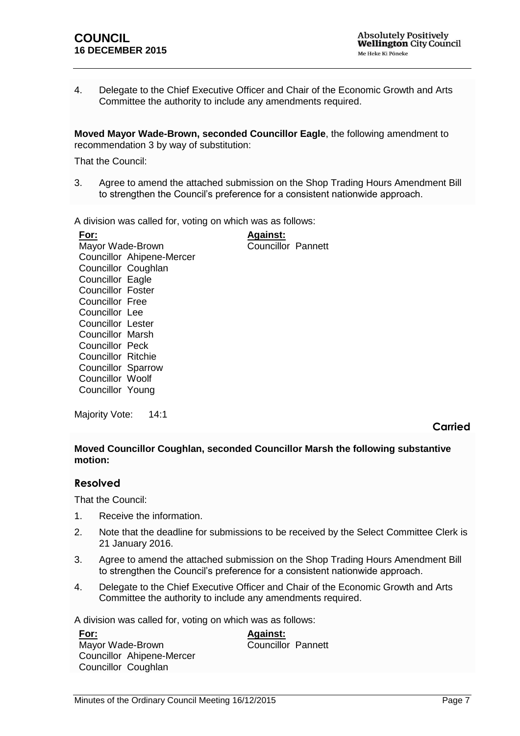4. Delegate to the Chief Executive Officer and Chair of the Economic Growth and Arts Committee the authority to include any amendments required.

**Moved Mayor Wade-Brown, seconded Councillor Eagle**, the following amendment to recommendation 3 by way of substitution:

That the Council:

3. Agree to amend the attached submission on the Shop Trading Hours Amendment Bill to strengthen the Council's preference for a consistent nationwide approach.

A division was called for, voting on which was as follows:

**For:** Mayor Wade-Brown Councillor Ahipene-Mercer Councillor Coughlan Councillor Eagle Councillor Foster Councillor Free Councillor Lee Councillor Lester Councillor Marsh Councillor Peck Councillor Ritchie Councillor Sparrow Councillor Woolf Councillor Young **Against:** Councillor Pannett

Majority Vote: 14:1

**Carried**

#### **Moved Councillor Coughlan, seconded Councillor Marsh the following substantive motion:**

#### **Resolved**

That the Council:

- 1. Receive the information.
- 2. Note that the deadline for submissions to be received by the Select Committee Clerk is 21 January 2016.
- 3. Agree to amend the attached submission on the Shop Trading Hours Amendment Bill to strengthen the Council's preference for a consistent nationwide approach.
- 4. Delegate to the Chief Executive Officer and Chair of the Economic Growth and Arts Committee the authority to include any amendments required.

A division was called for, voting on which was as follows:

| <u>For:</u>               | <b>Against:</b>           |  |
|---------------------------|---------------------------|--|
| Mayor Wade-Brown          | <b>Councillor Pannett</b> |  |
| Councillor Ahipene-Mercer |                           |  |
| Councillor Coughlan       |                           |  |
|                           |                           |  |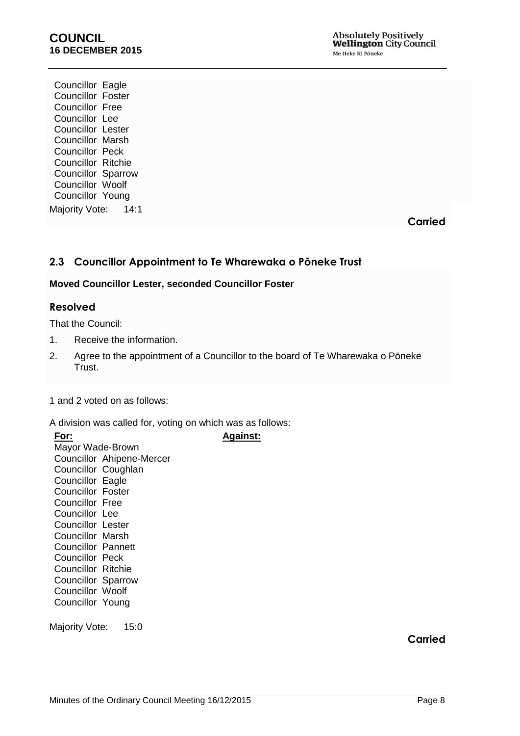Councillor Eagle Councillor Foster Councillor Free Councillor Lee Councillor Lester Councillor Marsh Councillor Peck Councillor Ritchie Councillor Sparrow Councillor Woolf Councillor Young Majority Vote: 14:1

**Carried**

# <span id="page-7-0"></span>**2.3 Councillor Appointment to Te Wharewaka o Pōneke Trust**

#### **Moved Councillor Lester, seconded Councillor Foster**

#### **Resolved**

That the Council:

- 1. Receive the information.
- 2. Agree to the appointment of a Councillor to the board of Te Wharewaka o Pōneke Trust.

**Against:**

1 and 2 voted on as follows:

A division was called for, voting on which was as follows:

| For:                      |                           |
|---------------------------|---------------------------|
| Mayor Wade-Brown          |                           |
|                           | Councillor Ahipene-Mercer |
| Councillor Coughlan       |                           |
| <b>Councillor Eagle</b>   |                           |
| <b>Councillor Foster</b>  |                           |
| <b>Councillor Free</b>    |                           |
| Councillor Lee            |                           |
| <b>Councillor Lester</b>  |                           |
| Councillor Marsh          |                           |
| Councillor Pannett        |                           |
| <b>Councillor Peck</b>    |                           |
| <b>Councillor Ritchie</b> |                           |
| <b>Councillor Sparrow</b> |                           |
| <b>Councillor Woolf</b>   |                           |
| Councillor Young          |                           |
|                           |                           |

Majority Vote: 15:0

**Carried**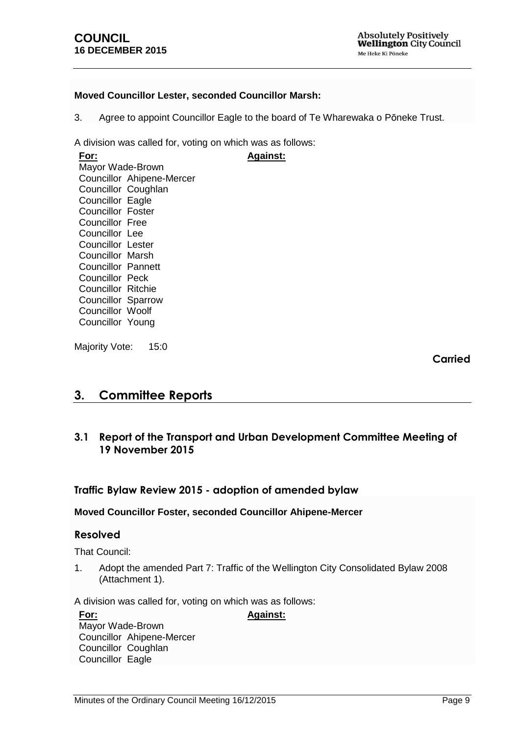**Absolutely Positively Wellington City Council** Me Heke Ki Põneke

#### **Moved Councillor Lester, seconded Councillor Marsh:**

3. Agree to appoint Councillor Eagle to the board of Te Wharewaka o Pōneke Trust.

**Against:**

A division was called for, voting on which was as follows:

**For:** Mayor Wade-Brown Councillor Ahipene-Mercer Councillor Coughlan Councillor Eagle Councillor Foster Councillor Free Councillor Lee Councillor Lester Councillor Marsh Councillor Pannett Councillor Peck Councillor Ritchie Councillor Sparrow Councillor Woolf Councillor Young

Majority Vote: 15:0

**Carried**

# <span id="page-8-0"></span>**3. Committee Reports**

## <span id="page-8-1"></span>**3.1 Report of the Transport and Urban Development Committee Meeting of 19 November 2015**

#### <span id="page-8-2"></span>**Traffic Bylaw Review 2015 - adoption of amended bylaw**

#### **Moved Councillor Foster, seconded Councillor Ahipene-Mercer**

#### **Resolved**

That Council:

1. Adopt the amended Part 7: Traffic of the Wellington City Consolidated Bylaw 2008 (Attachment 1).

**Against:**

A division was called for, voting on which was as follows:

**For:** Mayor Wade-Brown Councillor Ahipene-Mercer Councillor Coughlan Councillor Eagle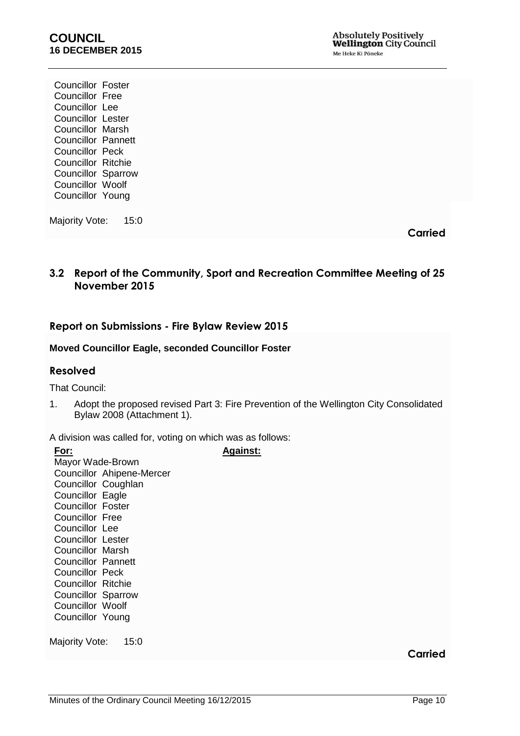Councillor Foster Councillor Free Councillor Lee Councillor Lester Councillor Marsh Councillor Pannett Councillor Peck Councillor Ritchie Councillor Sparrow Councillor Woolf Councillor Young

Majority Vote: 15:0

**Carried**

# <span id="page-9-0"></span>**3.2 Report of the Community, Sport and Recreation Committee Meeting of 25 November 2015**

## **Report on Submissions - Fire Bylaw Review 2015**

#### **Moved Councillor Eagle, seconded Councillor Foster**

#### **Resolved**

That Council:

1. Adopt the proposed revised Part 3: Fire Prevention of the Wellington City Consolidated Bylaw 2008 (Attachment 1).

**Against:**

A division was called for, voting on which was as follows:

**For:** Mayor Wade-Brown Councillor Ahipene-Mercer Councillor Coughlan Councillor Eagle Councillor Foster Councillor Free Councillor Lee Councillor Lester Councillor Marsh Councillor Pannett Councillor Peck Councillor Ritchie Councillor Sparrow Councillor Woolf Councillor Young

Majority Vote: 15:0

**Carried**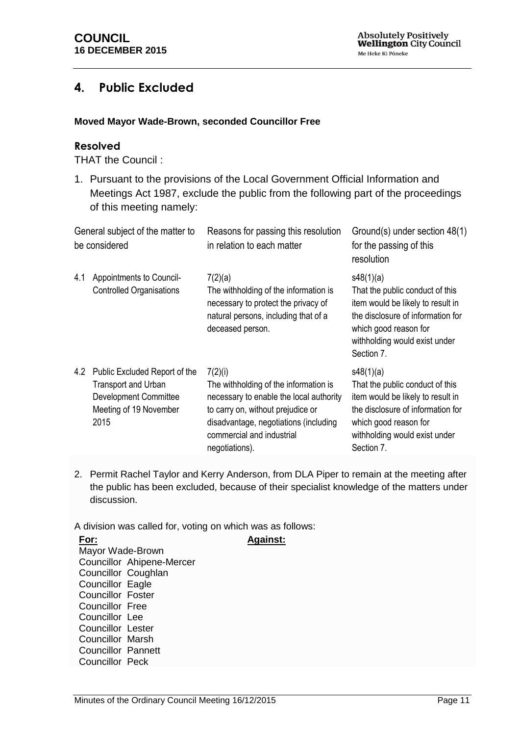# **4. Public Excluded**

### **Moved Mayor Wade-Brown, seconded Councillor Free**

### **Resolved**

THAT the Council :

1. Pursuant to the provisions of the Local Government Official Information and Meetings Act 1987, exclude the public from the following part of the proceedings of this meeting namely:

<span id="page-10-1"></span>

| General subject of the matter to<br>be considered |                                                                                                                               | Reasons for passing this resolution<br>in relation to each matter                                                                                                                                                        | Ground(s) under section 48(1)<br>for the passing of this<br>resolution                                                                                                                         |
|---------------------------------------------------|-------------------------------------------------------------------------------------------------------------------------------|--------------------------------------------------------------------------------------------------------------------------------------------------------------------------------------------------------------------------|------------------------------------------------------------------------------------------------------------------------------------------------------------------------------------------------|
| 4.1                                               | Appointments to Council-<br><b>Controlled Organisations</b>                                                                   | 7(2)(a)<br>The withholding of the information is<br>necessary to protect the privacy of<br>natural persons, including that of a<br>deceased person.                                                                      | s48(1)(a)<br>That the public conduct of this<br>item would be likely to result in<br>the disclosure of information for<br>which good reason for<br>withholding would exist under<br>Section 7. |
| 4.2                                               | Public Excluded Report of the<br><b>Transport and Urban</b><br><b>Development Committee</b><br>Meeting of 19 November<br>2015 | 7(2)(i)<br>The withholding of the information is<br>necessary to enable the local authority<br>to carry on, without prejudice or<br>disadvantage, negotiations (including<br>commercial and industrial<br>negotiations). | s48(1)(a)<br>That the public conduct of this<br>item would be likely to result in<br>the disclosure of information for<br>which good reason for<br>withholding would exist under<br>Section 7. |

<span id="page-10-2"></span><span id="page-10-0"></span>2. Permit Rachel Taylor and Kerry Anderson, from DLA Piper to remain at the meeting after the public has been excluded, because of their specialist knowledge of the matters under discussion.

A division was called for, voting on which was as follows:

| For:                      |                           | <b>Against:</b> |
|---------------------------|---------------------------|-----------------|
| Mayor Wade-Brown          |                           |                 |
|                           | Councillor Ahipene-Mercer |                 |
| Councillor Coughlan       |                           |                 |
| Councillor Eagle          |                           |                 |
| <b>Councillor Foster</b>  |                           |                 |
| <b>Councillor Free</b>    |                           |                 |
| Councillor Lee            |                           |                 |
| <b>Councillor Lester</b>  |                           |                 |
| <b>Councillor Marsh</b>   |                           |                 |
| <b>Councillor Pannett</b> |                           |                 |
| Councillor Peck           |                           |                 |